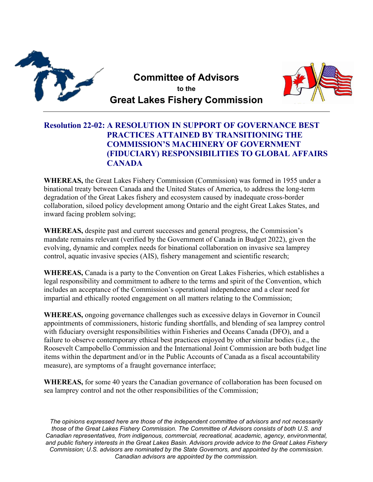

**Committee of Advisors to the Great Lakes Fishery Commission**



## **Resolution 22-02: A RESOLUTION IN SUPPORT OF GOVERNANCE BEST PRACTICES ATTAINED BY TRANSITIONING THE COMMISSION'S MACHINERY OF GOVERNMENT (FIDUCIARY) RESPONSIBILITIES TO GLOBAL AFFAIRS CANADA**

**WHEREAS,** the Great Lakes Fishery Commission (Commission) was formed in 1955 under a binational treaty between Canada and the United States of America, to address the long-term degradation of the Great Lakes fishery and ecosystem caused by inadequate cross-border collaboration, siloed policy development among Ontario and the eight Great Lakes States, and inward facing problem solving;

**WHEREAS,** despite past and current successes and general progress, the Commission's mandate remains relevant (verified by the Government of Canada in Budget 2022), given the evolving, dynamic and complex needs for binational collaboration on invasive sea lamprey control, aquatic invasive species (AIS), fishery management and scientific research;

**WHEREAS,** Canada is a party to the Convention on Great Lakes Fisheries, which establishes a legal responsibility and commitment to adhere to the terms and spirit of the Convention, which includes an acceptance of the Commission's operational independence and a clear need for impartial and ethically rooted engagement on all matters relating to the Commission;

**WHEREAS,** ongoing governance challenges such as excessive delays in Governor in Council appointments of commissioners, historic funding shortfalls, and blending of sea lamprey control with fiduciary oversight responsibilities within Fisheries and Oceans Canada (DFO), and a failure to observe contemporary ethical best practices enjoyed by other similar bodies (i.e., the Roosevelt Campobello Commission and the International Joint Commission are both budget line items within the department and/or in the Public Accounts of Canada as a fiscal accountability measure), are symptoms of a fraught governance interface;

**WHEREAS,** for some 40 years the Canadian governance of collaboration has been focused on sea lamprey control and not the other responsibilities of the Commission;

*The opinions expressed here are those of the independent committee of advisors and not necessarily those of the Great Lakes Fishery Commission. The Committee of Advisors consists of both U.S. and Canadian representatives, from indigenous, commercial, recreational, academic, agency, environmental, and public fishery interests in the Great Lakes Basin. Advisors provide advice to the Great Lakes Fishery Commission; U.S. advisors are nominated by the State Governors, and appointed by the commission. Canadian advisors are appointed by the commission.*